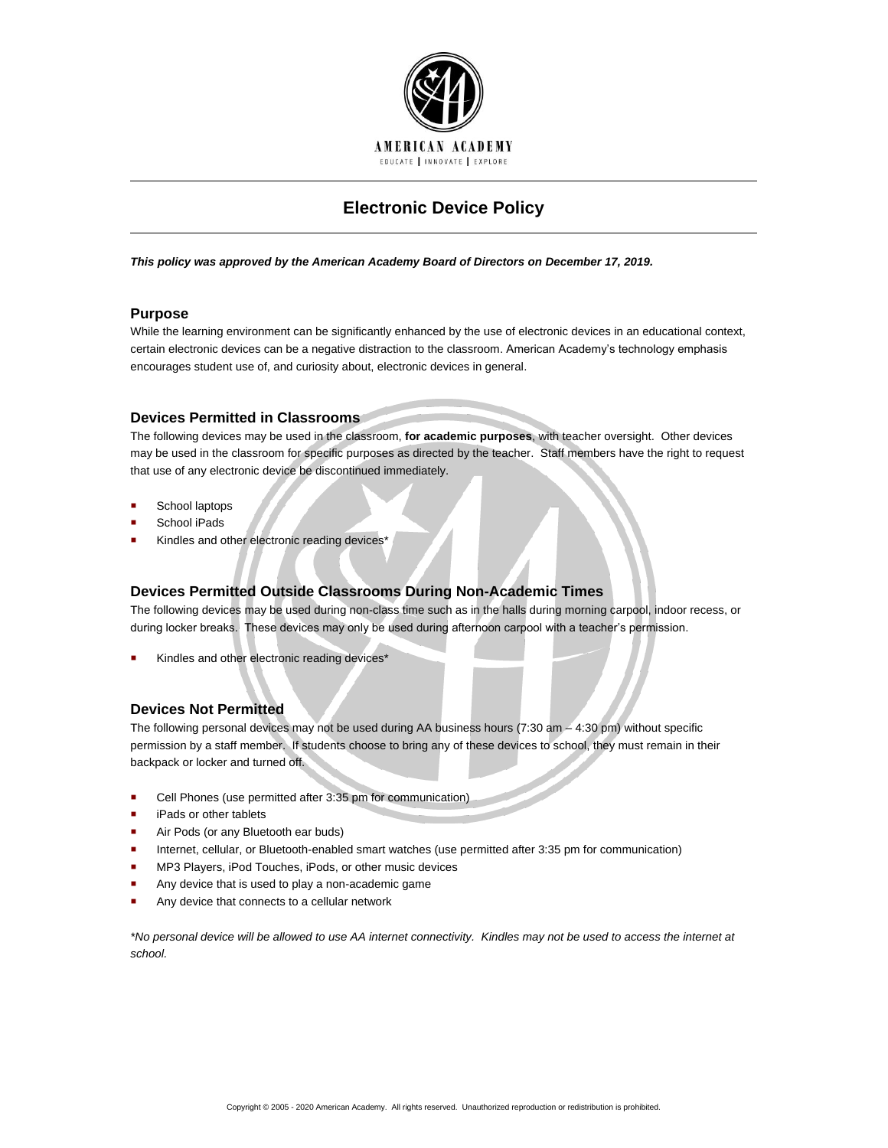

# **Electronic Device Policy**

*This policy was approved by the American Academy Board of Directors on December 17, 2019.*

## **Purpose**

While the learning environment can be significantly enhanced by the use of electronic devices in an educational context, certain electronic devices can be a negative distraction to the classroom. American Academy's technology emphasis encourages student use of, and curiosity about, electronic devices in general.

## **Devices Permitted in Classrooms**

The following devices may be used in the classroom, **for academic purposes**, with teacher oversight. Other devices may be used in the classroom for specific purposes as directed by the teacher. Staff members have the right to request that use of any electronic device be discontinued immediately.

- School laptops
- School iPads
- Kindles and other electronic reading devices\*

# **Devices Permitted Outside Classrooms During Non-Academic Times**

The following devices may be used during non-class time such as in the halls during morning carpool, indoor recess, or during locker breaks. These devices may only be used during afternoon carpool with a teacher's permission.

Kindles and other electronic reading devices\*

# **Devices Not Permitted**

The following personal devices may not be used during AA business hours (7:30 am – 4:30 pm) without specific permission by a staff member. If students choose to bring any of these devices to school, they must remain in their backpack or locker and turned off.

- Cell Phones (use permitted after 3:35 pm for communication)
- iPads or other tablets
- Air Pods (or any Bluetooth ear buds)
- Internet, cellular, or Bluetooth-enabled smart watches (use permitted after 3:35 pm for communication)
- **MP3 Players, iPod Touches, iPods, or other music devices**
- Any device that is used to play a non-academic game
- Any device that connects to a cellular network

*\*No personal device will be allowed to use AA internet connectivity. Kindles may not be used to access the internet at school.*